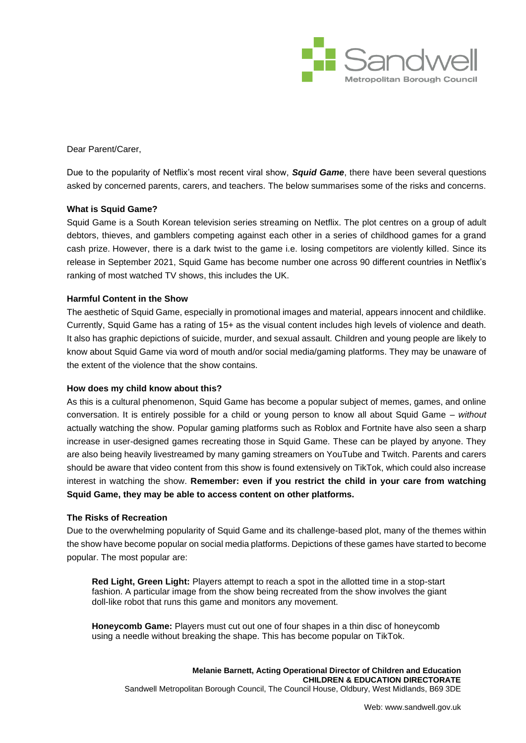

Dear Parent/Carer,

Due to the popularity of Netflix's most recent viral show, *Squid Game*, there have been several questions asked by concerned parents, carers, and teachers. The below summarises some of the risks and concerns.

# **What is Squid Game?**

Squid Game is a South Korean television series streaming on Netflix. The plot centres on a group of adult debtors, thieves, and gamblers competing against each other in a series of childhood games for a grand cash prize. However, there is a dark twist to the game i.e. losing competitors are violently killed. Since its release in September 2021, Squid Game has become number one across 90 different countries in Netflix's ranking of most watched TV shows, this includes the UK.

### **Harmful Content in the Show**

The aesthetic of Squid Game, especially in promotional images and material, appears innocent and childlike. Currently, Squid Game has a rating of 15+ as the visual content includes high levels of violence and death. It also has graphic depictions of suicide, murder, and sexual assault. Children and young people are likely to know about Squid Game via word of mouth and/or social media/gaming platforms. They may be unaware of the extent of the violence that the show contains.

#### **How does my child know about this?**

As this is a cultural phenomenon, Squid Game has become a popular subject of memes, games, and online conversation. It is entirely possible for a child or young person to know all about Squid Game – *without* actually watching the show. Popular gaming platforms such as Roblox and Fortnite have also seen a sharp increase in user-designed games recreating those in Squid Game. These can be played by anyone. They are also being heavily livestreamed by many gaming streamers on YouTube and Twitch. Parents and carers should be aware that video content from this show is found extensively on TikTok, which could also increase interest in watching the show. **Remember: even if you restrict the child in your care from watching Squid Game, they may be able to access content on other platforms.**

#### **The Risks of Recreation**

Due to the overwhelming popularity of Squid Game and its challenge-based plot, many of the themes within the show have become popular on social media platforms. Depictions of these games have started to become popular. The most popular are:

**Red Light, Green Light:** Players attempt to reach a spot in the allotted time in a stop-start fashion. A particular image from the show being recreated from the show involves the giant doll-like robot that runs this game and monitors any movement.

**Honeycomb Game:** Players must cut out one of four shapes in a thin disc of honeycomb using a needle without breaking the shape. This has become popular on TikTok.